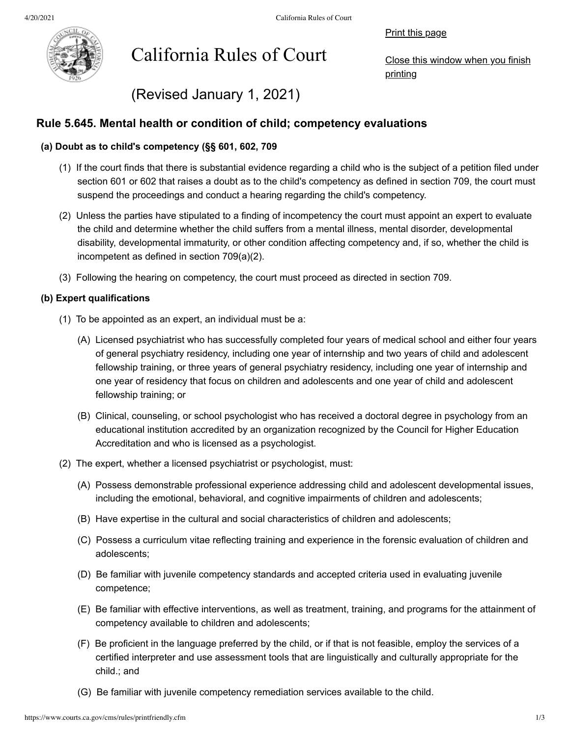Print this page



California Rules of Court

Close this window when you finish printing

(Revised January 1, 2021)

# **Rule 5.645. Mental health or condition of child; competency evaluations**

### **(a) Doubt as to child's competency (§§ 601, 602, 709**

- (1) If the court finds that there is substantial evidence regarding a child who is the subject of a petition filed under section 601 or 602 that raises a doubt as to the child's competency as defined in section 709, the court must suspend the proceedings and conduct a hearing regarding the child's competency.
- (2) Unless the parties have stipulated to a finding of incompetency the court must appoint an expert to evaluate the child and determine whether the child suffers from a mental illness, mental disorder, developmental disability, developmental immaturity, or other condition affecting competency and, if so, whether the child is incompetent as defined in section 709(a)(2).
- (3) Following the hearing on competency, the court must proceed as directed in section 709.

#### **(b) Expert qualifications**

- (1) To be appointed as an expert, an individual must be a:
	- (A) Licensed psychiatrist who has successfully completed four years of medical school and either four years of general psychiatry residency, including one year of internship and two years of child and adolescent fellowship training, or three years of general psychiatry residency, including one year of internship and one year of residency that focus on children and adolescents and one year of child and adolescent fellowship training; or
	- (B) Clinical, counseling, or school psychologist who has received a doctoral degree in psychology from an educational institution accredited by an organization recognized by the Council for Higher Education Accreditation and who is licensed as a psychologist.
- (2) The expert, whether a licensed psychiatrist or psychologist, must:
	- (A) Possess demonstrable professional experience addressing child and adolescent developmental issues, including the emotional, behavioral, and cognitive impairments of children and adolescents;
	- (B) Have expertise in the cultural and social characteristics of children and adolescents;
	- (C) Possess a curriculum vitae reflecting training and experience in the forensic evaluation of children and adolescents;
	- (D) Be familiar with juvenile competency standards and accepted criteria used in evaluating juvenile competence;
	- (E) Be familiar with effective interventions, as well as treatment, training, and programs for the attainment of competency available to children and adolescents;
	- (F) Be proficient in the language preferred by the child, or if that is not feasible, employ the services of a certified interpreter and use assessment tools that are linguistically and culturally appropriate for the child.; and
	- (G) Be familiar with juvenile competency remediation services available to the child.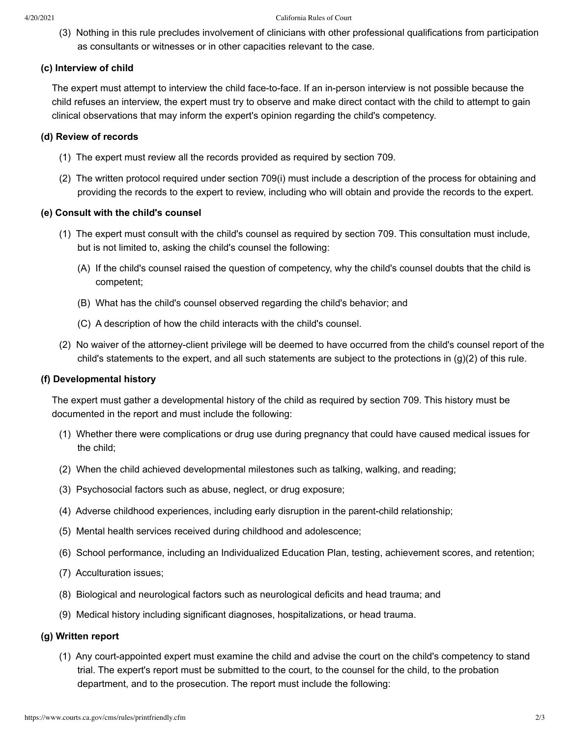(3) Nothing in this rule precludes involvement of clinicians with other professional qualifications from participation as consultants or witnesses or in other capacities relevant to the case.

## **(c) Interview of child**

The expert must attempt to interview the child face-to-face. If an in-person interview is not possible because the child refuses an interview, the expert must try to observe and make direct contact with the child to attempt to gain clinical observations that may inform the expert's opinion regarding the child's competency.

### **(d) Review of records**

- (1) The expert must review all the records provided as required by section 709.
- (2) The written protocol required under section 709(i) must include a description of the process for obtaining and providing the records to the expert to review, including who will obtain and provide the records to the expert.

#### **(e) Consult with the child's counsel**

- (1) The expert must consult with the child's counsel as required by section 709. This consultation must include, but is not limited to, asking the child's counsel the following:
	- (A) If the child's counsel raised the question of competency, why the child's counsel doubts that the child is competent;
	- (B) What has the child's counsel observed regarding the child's behavior; and
	- (C) A description of how the child interacts with the child's counsel.
- (2) No waiver of the attorney-client privilege will be deemed to have occurred from the child's counsel report of the child's statements to the expert, and all such statements are subject to the protections in (g)(2) of this rule.

# **(f) Developmental history**

The expert must gather a developmental history of the child as required by section 709. This history must be documented in the report and must include the following:

- (1) Whether there were complications or drug use during pregnancy that could have caused medical issues for the child;
- (2) When the child achieved developmental milestones such as talking, walking, and reading;
- (3) Psychosocial factors such as abuse, neglect, or drug exposure;
- (4) Adverse childhood experiences, including early disruption in the parent-child relationship;
- (5) Mental health services received during childhood and adolescence;
- (6) School performance, including an Individualized Education Plan, testing, achievement scores, and retention;
- (7) Acculturation issues;
- (8) Biological and neurological factors such as neurological deficits and head trauma; and
- (9) Medical history including significant diagnoses, hospitalizations, or head trauma.

## **(g) Written report**

(1) Any court-appointed expert must examine the child and advise the court on the child's competency to stand trial. The expert's report must be submitted to the court, to the counsel for the child, to the probation department, and to the prosecution. The report must include the following: